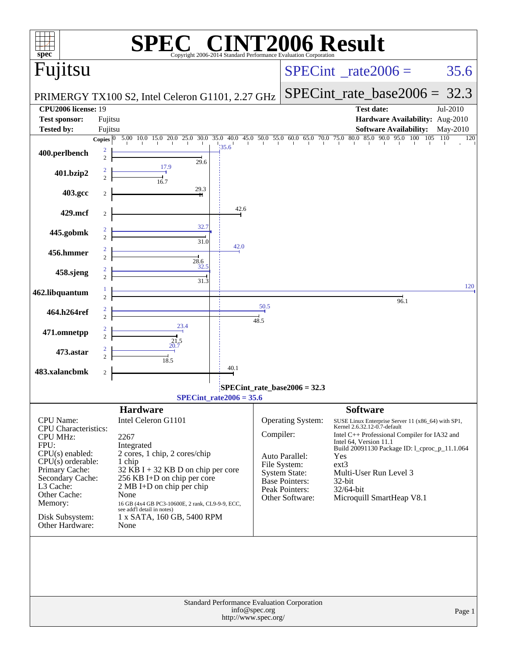| $spec$ <sup>®</sup>                            |                     |                                                                                                                 |                           |                          | Copyright 2006-2014 Standard Performance Evaluation Cornoration | <b>CINT2006 Result</b>                                                                                |            |
|------------------------------------------------|---------------------|-----------------------------------------------------------------------------------------------------------------|---------------------------|--------------------------|-----------------------------------------------------------------|-------------------------------------------------------------------------------------------------------|------------|
| Fujitsu                                        |                     |                                                                                                                 |                           |                          |                                                                 | $SPECint^{\circ}$ rate 2006 =                                                                         | 35.6       |
|                                                |                     | PRIMERGY TX100 S2, Intel Celeron G1101, 2.27 GHz                                                                |                           |                          |                                                                 | $SPECint_rate_base2006 = 32.3$                                                                        |            |
| <b>CPU2006 license: 19</b>                     |                     |                                                                                                                 |                           |                          |                                                                 | <b>Test date:</b>                                                                                     | Jul-2010   |
| <b>Test sponsor:</b><br><b>Tested by:</b>      | Fujitsu<br>Fujitsu  |                                                                                                                 |                           |                          |                                                                 | Hardware Availability: Aug-2010<br><b>Software Availability:</b>                                      | May-2010   |
|                                                |                     | Copies 0 5.00 10.0 15.0 20.0 25.0 30.0 35.0 40.0 45.0 50.0 55.0 60.0 65.0 70.0 75.0 80.0 85.0 90.0 95.0 100 105 | 35.6                      |                          |                                                                 |                                                                                                       | 110<br>120 |
| 400.perlbench                                  | 2<br>$\overline{2}$ | 29.6<br>17.9                                                                                                    |                           |                          |                                                                 |                                                                                                       |            |
| 401.bzip2                                      |                     | 16.7                                                                                                            |                           |                          |                                                                 |                                                                                                       |            |
| 403.gcc                                        | $\overline{2}$      | 29.3                                                                                                            |                           |                          |                                                                 |                                                                                                       |            |
| 429.mcf                                        | 2                   |                                                                                                                 | 42.6                      |                          |                                                                 |                                                                                                       |            |
| 445.gobmk                                      |                     | 32.7                                                                                                            |                           |                          |                                                                 |                                                                                                       |            |
| 456.hmmer                                      |                     | 31.0                                                                                                            | 42.0                      |                          |                                                                 |                                                                                                       |            |
|                                                |                     | $\frac{28.6}{2}$<br>32.5                                                                                        |                           |                          |                                                                 |                                                                                                       |            |
| 458.sjeng                                      |                     | 31.3                                                                                                            |                           |                          |                                                                 |                                                                                                       | 120        |
| 462.libquantum                                 |                     |                                                                                                                 |                           |                          |                                                                 | $\frac{1}{96.1}$                                                                                      |            |
| 464.h264ref                                    |                     |                                                                                                                 |                           | 50.5<br>$\frac{1}{48.5}$ |                                                                 |                                                                                                       |            |
| 471.omnetpp                                    |                     | 23.4<br>21.5                                                                                                    |                           |                          |                                                                 |                                                                                                       |            |
| 473.astar                                      |                     | 20.7                                                                                                            |                           |                          |                                                                 |                                                                                                       |            |
| 483.xalancbmk                                  | $\overline{c}$      | 18.5                                                                                                            | 40.1                      |                          |                                                                 |                                                                                                       |            |
|                                                |                     |                                                                                                                 |                           |                          | SPECint_rate_base2006 = 32.3                                    |                                                                                                       |            |
|                                                |                     |                                                                                                                 | $SPECint_rate2006 = 35.6$ |                          |                                                                 |                                                                                                       |            |
| <b>CPU</b> Name:                               |                     | <b>Hardware</b><br>Intel Celeron G1101                                                                          |                           |                          | <b>Operating System:</b>                                        | <b>Software</b><br>SUSE Linux Enterprise Server 11 (x86_64) with SP1,<br>Kernel 2.6.32.12-0.7-default |            |
| <b>CPU</b> Characteristics:<br><b>CPU MHz:</b> |                     | 2267                                                                                                            |                           | Compiler:                |                                                                 | Intel C++ Professional Compiler for IA32 and<br>Intel 64, Version 11.1                                |            |
| FPU:<br>$CPU(s)$ enabled:                      |                     | Integrated<br>2 cores, 1 chip, 2 cores/chip                                                                     |                           |                          | Auto Parallel:                                                  | Build 20091130 Package ID: 1_cproc_p_11.1.064<br>Yes                                                  |            |
| $CPU(s)$ orderable:<br>Primary Cache:          |                     | 1 chip<br>$32$ KB I + 32 KB D on chip per core                                                                  |                           |                          | File System:<br><b>System State:</b>                            | $ext{3}$<br>Multi-User Run Level 3                                                                    |            |
| Secondary Cache:<br>L3 Cache:                  |                     | 256 KB I+D on chip per core<br>2 MB I+D on chip per chip                                                        |                           |                          | Base Pointers:                                                  | 32-bit                                                                                                |            |
| Other Cache:                                   |                     | None                                                                                                            |                           |                          | Peak Pointers:<br>Other Software:                               | 32/64-bit<br>Microquill SmartHeap V8.1                                                                |            |
| Memory:                                        |                     | 16 GB (4x4 GB PC3-10600E, 2 rank, CL9-9-9, ECC,<br>see add'l detail in notes)                                   |                           |                          |                                                                 |                                                                                                       |            |
| Disk Subsystem:<br>Other Hardware:             |                     | 1 x SATA, 160 GB, 5400 RPM<br>None                                                                              |                           |                          |                                                                 |                                                                                                       |            |
|                                                |                     |                                                                                                                 |                           |                          |                                                                 |                                                                                                       |            |
|                                                |                     |                                                                                                                 |                           | info@spec.org            | Standard Performance Evaluation Corporation                     |                                                                                                       | Page 1     |
|                                                |                     |                                                                                                                 | http://www.spec.org/      |                          |                                                                 |                                                                                                       |            |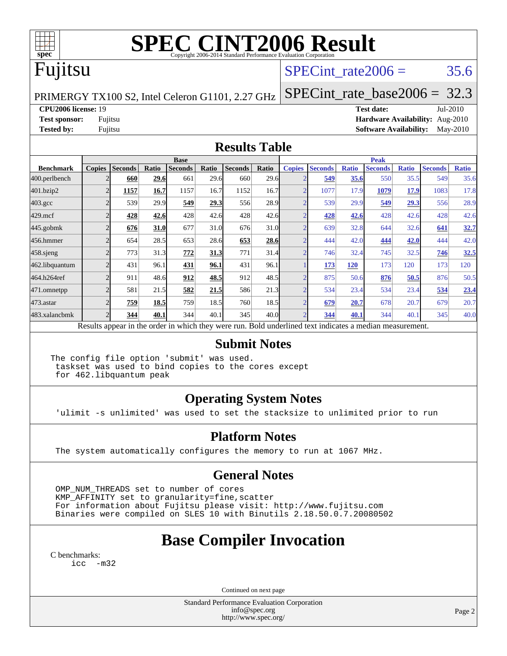

# **[SPEC CINT2006 Result](http://www.spec.org/auto/cpu2006/Docs/result-fields.html#SPECCINT2006Result)**

## Fujitsu

### SPECint rate  $2006 = 35.6$

PRIMERGY TX100 S2, Intel Celeron G1101, 2.27 GHz

[SPECint\\_rate\\_base2006 =](http://www.spec.org/auto/cpu2006/Docs/result-fields.html#SPECintratebase2006) 32.3

**[CPU2006 license:](http://www.spec.org/auto/cpu2006/Docs/result-fields.html#CPU2006license)** 19 **[Test date:](http://www.spec.org/auto/cpu2006/Docs/result-fields.html#Testdate)** Jul-2010

**[Test sponsor:](http://www.spec.org/auto/cpu2006/Docs/result-fields.html#Testsponsor)** Fujitsu **[Hardware Availability:](http://www.spec.org/auto/cpu2006/Docs/result-fields.html#HardwareAvailability)** Aug-2010 **[Tested by:](http://www.spec.org/auto/cpu2006/Docs/result-fields.html#Testedby)** Fujitsu **[Software Availability:](http://www.spec.org/auto/cpu2006/Docs/result-fields.html#SoftwareAvailability)** May-2010

#### **[Results Table](http://www.spec.org/auto/cpu2006/Docs/result-fields.html#ResultsTable)**

|                    |                                                                                                          |                |              | <b>Base</b><br><b>Peak</b> |       |                |       |                |                |              |                |              |                |              |
|--------------------|----------------------------------------------------------------------------------------------------------|----------------|--------------|----------------------------|-------|----------------|-------|----------------|----------------|--------------|----------------|--------------|----------------|--------------|
| <b>Benchmark</b>   | <b>Copies</b>                                                                                            | <b>Seconds</b> | <b>Ratio</b> | <b>Seconds</b>             | Ratio | <b>Seconds</b> | Ratio | <b>Copies</b>  | <b>Seconds</b> | <b>Ratio</b> | <b>Seconds</b> | <b>Ratio</b> | <b>Seconds</b> | <b>Ratio</b> |
| 400.perlbench      |                                                                                                          | 660            | 29.6         | 661                        | 29.6  | 660            | 29.6  | <sub>o</sub>   | 549            | 35.6         | 550            | 35.5         | 549            | 35.6         |
| 401.bzip2          | $\overline{c}$                                                                                           | 1157           | 16.7         | 1157                       | 16.7  | 1152           | 16.7  | $\overline{2}$ | 1077           | 17.9         | 1079           | 17.9         | 1083           | 17.8         |
| $403.\mathrm{gcc}$ |                                                                                                          | 539            | 29.9         | 549                        | 29.3  | 556            | 28.9  | $\overline{2}$ | 539            | 29.9         | 549            | 29.3         | 556            | 28.9         |
| $429$ .mcf         |                                                                                                          | 428            | 42.6         | 428                        | 42.6  | 428            | 42.6  | ◠              | 428            | 42.6         | 428            | 42.6         | 428            | 42.6         |
| $445$ .gobm $k$    |                                                                                                          | 676            | 31.0         | 677                        | 31.0  | 676            | 31.0  | n              | 639            | 32.8         | 644            | 32.6         | 641            | 32.7         |
| 456.hmmer          |                                                                                                          | 654            | 28.5         | 653                        | 28.6  | 653            | 28.6  | ◠              | 444            | 42.0         | 444            | 42.0         | 444            | 42.0         |
| $458$ .sjeng       |                                                                                                          | 773            | 31.3         | 772                        | 31.3  | 771            | 31.4  | <sub>2</sub>   | 746            | 32.4         | 745            | 32.5         | 746            | 32.5         |
| 462.libquantum     |                                                                                                          | 431            | 96.1         | 431                        | 96.1  | 431            | 96.1  |                | 173            | 120          | 173            | 120          | 173            | 120          |
| 464.h264ref        |                                                                                                          | 911            | 48.6         | 912                        | 48.5  | 912            | 48.5  | $\overline{2}$ | 875            | 50.6         | 876            | 50.5         | 876            | 50.5         |
| 471.omnetpp        |                                                                                                          | 581            | 21.5         | 582                        | 21.5  | 586            | 21.3  | $\overline{2}$ | 534            | 23.4         | 534            | 23.4         | 534            | 23.4         |
| 473.astar          |                                                                                                          | 759            | 18.5         | 759                        | 18.5  | 760            | 18.5  | $\overline{2}$ | 679            | 20.7         | 678            | 20.7         | 679            | 20.7         |
| 483.xalancbmk      |                                                                                                          | 344            | 40.1         | 344                        | 40.1  | 345            | 40.0  | ↑              | 344            | 40.1         | 344            | 40.1         | 345            | 40.0         |
|                    | Results appear in the order in which they were run. Bold underlined text indicates a median measurement. |                |              |                            |       |                |       |                |                |              |                |              |                |              |

#### **[Submit Notes](http://www.spec.org/auto/cpu2006/Docs/result-fields.html#SubmitNotes)**

The config file option 'submit' was used. taskset was used to bind copies to the cores except for 462.libquantum peak

### **[Operating System Notes](http://www.spec.org/auto/cpu2006/Docs/result-fields.html#OperatingSystemNotes)**

'ulimit -s unlimited' was used to set the stacksize to unlimited prior to run

#### **[Platform Notes](http://www.spec.org/auto/cpu2006/Docs/result-fields.html#PlatformNotes)**

The system automatically configures the memory to run at 1067 MHz.

### **[General Notes](http://www.spec.org/auto/cpu2006/Docs/result-fields.html#GeneralNotes)**

 OMP\_NUM\_THREADS set to number of cores KMP AFFINITY set to granularity=fine, scatter For information about Fujitsu please visit: <http://www.fujitsu.com> Binaries were compiled on SLES 10 with Binutils 2.18.50.0.7.20080502

### **[Base Compiler Invocation](http://www.spec.org/auto/cpu2006/Docs/result-fields.html#BaseCompilerInvocation)**

[C benchmarks](http://www.spec.org/auto/cpu2006/Docs/result-fields.html#Cbenchmarks): [icc -m32](http://www.spec.org/cpu2006/results/res2010q3/cpu2006-20100716-12438.flags.html#user_CCbase_intel_icc_32bit_5ff4a39e364c98233615fdd38438c6f2)

Continued on next page

Standard Performance Evaluation Corporation [info@spec.org](mailto:info@spec.org) <http://www.spec.org/>

Page 2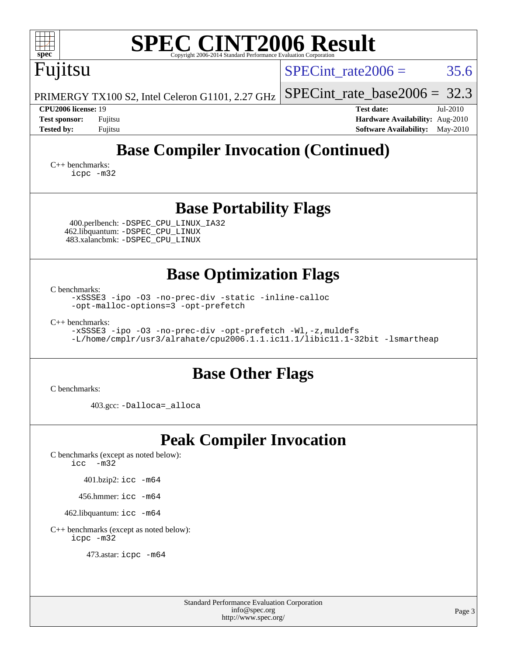| <b>SPEC CINT2006 Result</b><br>$spec^*$<br>Copyright 2006-2014 Standard Performance Evaluation Corporation                                                                                                                                                                                                       |                                                                                                            |
|------------------------------------------------------------------------------------------------------------------------------------------------------------------------------------------------------------------------------------------------------------------------------------------------------------------|------------------------------------------------------------------------------------------------------------|
| Fujitsu                                                                                                                                                                                                                                                                                                          | SPECint rate $2006 =$<br>35.6                                                                              |
| PRIMERGY TX100 S2, Intel Celeron G1101, 2.27 GHz                                                                                                                                                                                                                                                                 | $SPECint_rate_base2006 = 32.3$                                                                             |
| <b>CPU2006 license: 19</b><br><b>Test sponsor:</b><br>Fujitsu<br><b>Tested by:</b><br>Fujitsu                                                                                                                                                                                                                    | <b>Test date:</b><br>Jul-2010<br>Hardware Availability: Aug-2010<br><b>Software Availability:</b> May-2010 |
| <b>Base Compiler Invocation (Continued)</b>                                                                                                                                                                                                                                                                      |                                                                                                            |
| $C_{++}$ benchmarks:<br>icpc -m32                                                                                                                                                                                                                                                                                |                                                                                                            |
| <b>Base Portability Flags</b><br>400.perlbench: -DSPEC_CPU_LINUX_IA32<br>462.libquantum: - DSPEC CPU LINUX<br>483.xalancbmk: -DSPEC_CPU_LINUX                                                                                                                                                                    |                                                                                                            |
| <b>Base Optimization Flags</b><br>C benchmarks:<br>-xSSSE3 -ipo -03 -no-prec-div -static -inline-calloc<br>-opt-malloc-options=3 -opt-prefetch<br>$C++$ benchmarks:<br>-xSSSE3 -ipo -03 -no-prec-div -opt-prefetch -Wl,-z, muldefs<br>-L/home/cmplr/usr3/alrahate/cpu2006.1.1.ic11.1/libic11.1-32bit -lsmartheap |                                                                                                            |
| <b>Base Other Flags</b><br>C benchmarks:                                                                                                                                                                                                                                                                         |                                                                                                            |
| 403.gcc: -Dalloca=_alloca                                                                                                                                                                                                                                                                                        |                                                                                                            |
| <b>Peak Compiler Invocation</b><br>C benchmarks (except as noted below):<br>icc<br>$-m32$<br>$401.bzip2:$ icc $-m64$<br>456.hmmer: $\text{icc}$ -m64<br>462.libquantum: icc -m64                                                                                                                                 |                                                                                                            |
| $C++$ benchmarks (except as noted below):                                                                                                                                                                                                                                                                        |                                                                                                            |
| icpc -m32<br>473.astar: icpc -m64                                                                                                                                                                                                                                                                                |                                                                                                            |

Standard Performance Evaluation Corporation [info@spec.org](mailto:info@spec.org) <http://www.spec.org/>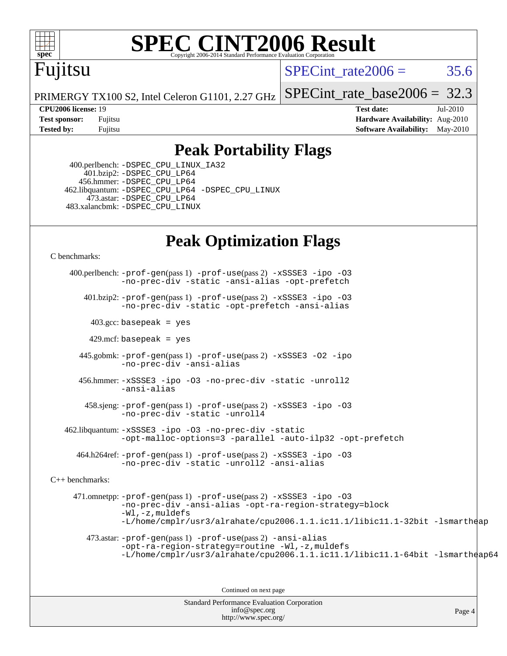

# **[SPEC CINT2006 Result](http://www.spec.org/auto/cpu2006/Docs/result-fields.html#SPECCINT2006Result)**

## Fujitsu

SPECint rate $2006 = 35.6$ 

[SPECint\\_rate\\_base2006 =](http://www.spec.org/auto/cpu2006/Docs/result-fields.html#SPECintratebase2006) 32.3

Page 4

PRIMERGY TX100 S2, Intel Celeron G1101, 2.27 GHz

**[CPU2006 license:](http://www.spec.org/auto/cpu2006/Docs/result-fields.html#CPU2006license)** 19 **[Test date:](http://www.spec.org/auto/cpu2006/Docs/result-fields.html#Testdate)** Jul-2010 **[Test sponsor:](http://www.spec.org/auto/cpu2006/Docs/result-fields.html#Testsponsor)** Fujitsu **[Hardware Availability:](http://www.spec.org/auto/cpu2006/Docs/result-fields.html#HardwareAvailability)** Aug-2010 **[Tested by:](http://www.spec.org/auto/cpu2006/Docs/result-fields.html#Testedby)** Fujitsu **[Software Availability:](http://www.spec.org/auto/cpu2006/Docs/result-fields.html#SoftwareAvailability)** May-2010

### **[Peak Portability Flags](http://www.spec.org/auto/cpu2006/Docs/result-fields.html#PeakPortabilityFlags)**

 400.perlbench: [-DSPEC\\_CPU\\_LINUX\\_IA32](http://www.spec.org/cpu2006/results/res2010q3/cpu2006-20100716-12438.flags.html#b400.perlbench_peakCPORTABILITY_DSPEC_CPU_LINUX_IA32) 401.bzip2: [-DSPEC\\_CPU\\_LP64](http://www.spec.org/cpu2006/results/res2010q3/cpu2006-20100716-12438.flags.html#suite_peakPORTABILITY401_bzip2_DSPEC_CPU_LP64) 456.hmmer: [-DSPEC\\_CPU\\_LP64](http://www.spec.org/cpu2006/results/res2010q3/cpu2006-20100716-12438.flags.html#suite_peakCPORTABILITY456_hmmer_DSPEC_CPU_LP64) 462.libquantum: [-DSPEC\\_CPU\\_LP64](http://www.spec.org/cpu2006/results/res2010q3/cpu2006-20100716-12438.flags.html#suite_peakCPORTABILITY462_libquantum_DSPEC_CPU_LP64) [-DSPEC\\_CPU\\_LINUX](http://www.spec.org/cpu2006/results/res2010q3/cpu2006-20100716-12438.flags.html#b462.libquantum_peakCPORTABILITY_DSPEC_CPU_LINUX) 473.astar: [-DSPEC\\_CPU\\_LP64](http://www.spec.org/cpu2006/results/res2010q3/cpu2006-20100716-12438.flags.html#suite_peakCXXPORTABILITY473_astar_DSPEC_CPU_LP64) 483.xalancbmk: [-DSPEC\\_CPU\\_LINUX](http://www.spec.org/cpu2006/results/res2010q3/cpu2006-20100716-12438.flags.html#b483.xalancbmk_peakCXXPORTABILITY_DSPEC_CPU_LINUX)

### **[Peak Optimization Flags](http://www.spec.org/auto/cpu2006/Docs/result-fields.html#PeakOptimizationFlags)**

[C benchmarks](http://www.spec.org/auto/cpu2006/Docs/result-fields.html#Cbenchmarks):

Standard Performance Evaluation Corporation [info@spec.org](mailto:info@spec.org) 400.perlbench: [-prof-gen](http://www.spec.org/cpu2006/results/res2010q3/cpu2006-20100716-12438.flags.html#user_peakPASS1_CFLAGSPASS1_LDFLAGS400_perlbench_prof_gen_e43856698f6ca7b7e442dfd80e94a8fc)(pass 1) [-prof-use](http://www.spec.org/cpu2006/results/res2010q3/cpu2006-20100716-12438.flags.html#user_peakPASS2_CFLAGSPASS2_LDFLAGS400_perlbench_prof_use_bccf7792157ff70d64e32fe3e1250b55)(pass 2) [-xSSSE3](http://www.spec.org/cpu2006/results/res2010q3/cpu2006-20100716-12438.flags.html#user_peakCOPTIMIZE400_perlbench_f-xSSSE3) [-ipo](http://www.spec.org/cpu2006/results/res2010q3/cpu2006-20100716-12438.flags.html#user_peakCOPTIMIZE400_perlbench_f-ipo) [-O3](http://www.spec.org/cpu2006/results/res2010q3/cpu2006-20100716-12438.flags.html#user_peakCOPTIMIZE400_perlbench_f-O3) [-no-prec-div](http://www.spec.org/cpu2006/results/res2010q3/cpu2006-20100716-12438.flags.html#user_peakCOPTIMIZE400_perlbench_f-no-prec-div) [-static](http://www.spec.org/cpu2006/results/res2010q3/cpu2006-20100716-12438.flags.html#user_peakCOPTIMIZE400_perlbench_f-static) [-ansi-alias](http://www.spec.org/cpu2006/results/res2010q3/cpu2006-20100716-12438.flags.html#user_peakCOPTIMIZE400_perlbench_f-ansi-alias) [-opt-prefetch](http://www.spec.org/cpu2006/results/res2010q3/cpu2006-20100716-12438.flags.html#user_peakCOPTIMIZE400_perlbench_f-opt-prefetch) 401.bzip2: [-prof-gen](http://www.spec.org/cpu2006/results/res2010q3/cpu2006-20100716-12438.flags.html#user_peakPASS1_CFLAGSPASS1_LDFLAGS401_bzip2_prof_gen_e43856698f6ca7b7e442dfd80e94a8fc)(pass 1) [-prof-use](http://www.spec.org/cpu2006/results/res2010q3/cpu2006-20100716-12438.flags.html#user_peakPASS2_CFLAGSPASS2_LDFLAGS401_bzip2_prof_use_bccf7792157ff70d64e32fe3e1250b55)(pass 2) [-xSSSE3](http://www.spec.org/cpu2006/results/res2010q3/cpu2006-20100716-12438.flags.html#user_peakCOPTIMIZE401_bzip2_f-xSSSE3) [-ipo](http://www.spec.org/cpu2006/results/res2010q3/cpu2006-20100716-12438.flags.html#user_peakCOPTIMIZE401_bzip2_f-ipo) [-O3](http://www.spec.org/cpu2006/results/res2010q3/cpu2006-20100716-12438.flags.html#user_peakCOPTIMIZE401_bzip2_f-O3) [-no-prec-div](http://www.spec.org/cpu2006/results/res2010q3/cpu2006-20100716-12438.flags.html#user_peakCOPTIMIZE401_bzip2_f-no-prec-div) [-static](http://www.spec.org/cpu2006/results/res2010q3/cpu2006-20100716-12438.flags.html#user_peakCOPTIMIZE401_bzip2_f-static) [-opt-prefetch](http://www.spec.org/cpu2006/results/res2010q3/cpu2006-20100716-12438.flags.html#user_peakCOPTIMIZE401_bzip2_f-opt-prefetch) [-ansi-alias](http://www.spec.org/cpu2006/results/res2010q3/cpu2006-20100716-12438.flags.html#user_peakCOPTIMIZE401_bzip2_f-ansi-alias)  $403.\text{gcc: basepeak}$  = yes  $429$ .mcf: basepeak = yes 445.gobmk: [-prof-gen](http://www.spec.org/cpu2006/results/res2010q3/cpu2006-20100716-12438.flags.html#user_peakPASS1_CFLAGSPASS1_LDFLAGS445_gobmk_prof_gen_e43856698f6ca7b7e442dfd80e94a8fc)(pass 1) [-prof-use](http://www.spec.org/cpu2006/results/res2010q3/cpu2006-20100716-12438.flags.html#user_peakPASS2_CFLAGSPASS2_LDFLAGS445_gobmk_prof_use_bccf7792157ff70d64e32fe3e1250b55)(pass 2) [-xSSSE3](http://www.spec.org/cpu2006/results/res2010q3/cpu2006-20100716-12438.flags.html#user_peakCOPTIMIZE445_gobmk_f-xSSSE3) [-O2](http://www.spec.org/cpu2006/results/res2010q3/cpu2006-20100716-12438.flags.html#user_peakCOPTIMIZE445_gobmk_f-O2) [-ipo](http://www.spec.org/cpu2006/results/res2010q3/cpu2006-20100716-12438.flags.html#user_peakCOPTIMIZE445_gobmk_f-ipo) [-no-prec-div](http://www.spec.org/cpu2006/results/res2010q3/cpu2006-20100716-12438.flags.html#user_peakCOPTIMIZE445_gobmk_f-no-prec-div) [-ansi-alias](http://www.spec.org/cpu2006/results/res2010q3/cpu2006-20100716-12438.flags.html#user_peakCOPTIMIZE445_gobmk_f-ansi-alias) 456.hmmer: [-xSSSE3](http://www.spec.org/cpu2006/results/res2010q3/cpu2006-20100716-12438.flags.html#user_peakCOPTIMIZE456_hmmer_f-xSSSE3) [-ipo](http://www.spec.org/cpu2006/results/res2010q3/cpu2006-20100716-12438.flags.html#user_peakCOPTIMIZE456_hmmer_f-ipo) [-O3](http://www.spec.org/cpu2006/results/res2010q3/cpu2006-20100716-12438.flags.html#user_peakCOPTIMIZE456_hmmer_f-O3) [-no-prec-div](http://www.spec.org/cpu2006/results/res2010q3/cpu2006-20100716-12438.flags.html#user_peakCOPTIMIZE456_hmmer_f-no-prec-div) [-static](http://www.spec.org/cpu2006/results/res2010q3/cpu2006-20100716-12438.flags.html#user_peakCOPTIMIZE456_hmmer_f-static) [-unroll2](http://www.spec.org/cpu2006/results/res2010q3/cpu2006-20100716-12438.flags.html#user_peakCOPTIMIZE456_hmmer_f-unroll_784dae83bebfb236979b41d2422d7ec2) [-ansi-alias](http://www.spec.org/cpu2006/results/res2010q3/cpu2006-20100716-12438.flags.html#user_peakCOPTIMIZE456_hmmer_f-ansi-alias) 458.sjeng: [-prof-gen](http://www.spec.org/cpu2006/results/res2010q3/cpu2006-20100716-12438.flags.html#user_peakPASS1_CFLAGSPASS1_LDFLAGS458_sjeng_prof_gen_e43856698f6ca7b7e442dfd80e94a8fc)(pass 1) [-prof-use](http://www.spec.org/cpu2006/results/res2010q3/cpu2006-20100716-12438.flags.html#user_peakPASS2_CFLAGSPASS2_LDFLAGS458_sjeng_prof_use_bccf7792157ff70d64e32fe3e1250b55)(pass 2) [-xSSSE3](http://www.spec.org/cpu2006/results/res2010q3/cpu2006-20100716-12438.flags.html#user_peakCOPTIMIZE458_sjeng_f-xSSSE3) [-ipo](http://www.spec.org/cpu2006/results/res2010q3/cpu2006-20100716-12438.flags.html#user_peakCOPTIMIZE458_sjeng_f-ipo) [-O3](http://www.spec.org/cpu2006/results/res2010q3/cpu2006-20100716-12438.flags.html#user_peakCOPTIMIZE458_sjeng_f-O3) [-no-prec-div](http://www.spec.org/cpu2006/results/res2010q3/cpu2006-20100716-12438.flags.html#user_peakCOPTIMIZE458_sjeng_f-no-prec-div) [-static](http://www.spec.org/cpu2006/results/res2010q3/cpu2006-20100716-12438.flags.html#user_peakCOPTIMIZE458_sjeng_f-static) [-unroll4](http://www.spec.org/cpu2006/results/res2010q3/cpu2006-20100716-12438.flags.html#user_peakCOPTIMIZE458_sjeng_f-unroll_4e5e4ed65b7fd20bdcd365bec371b81f) 462.libquantum: [-xSSSE3](http://www.spec.org/cpu2006/results/res2010q3/cpu2006-20100716-12438.flags.html#user_peakCOPTIMIZE462_libquantum_f-xSSSE3) [-ipo](http://www.spec.org/cpu2006/results/res2010q3/cpu2006-20100716-12438.flags.html#user_peakCOPTIMIZE462_libquantum_f-ipo) [-O3](http://www.spec.org/cpu2006/results/res2010q3/cpu2006-20100716-12438.flags.html#user_peakCOPTIMIZE462_libquantum_f-O3) [-no-prec-div](http://www.spec.org/cpu2006/results/res2010q3/cpu2006-20100716-12438.flags.html#user_peakCOPTIMIZE462_libquantum_f-no-prec-div) [-static](http://www.spec.org/cpu2006/results/res2010q3/cpu2006-20100716-12438.flags.html#user_peakCOPTIMIZE462_libquantum_f-static) [-opt-malloc-options=3](http://www.spec.org/cpu2006/results/res2010q3/cpu2006-20100716-12438.flags.html#user_peakCOPTIMIZE462_libquantum_f-opt-malloc-options_13ab9b803cf986b4ee62f0a5998c2238) [-parallel](http://www.spec.org/cpu2006/results/res2010q3/cpu2006-20100716-12438.flags.html#user_peakCOPTIMIZE462_libquantum_f-parallel) [-auto-ilp32](http://www.spec.org/cpu2006/results/res2010q3/cpu2006-20100716-12438.flags.html#user_peakCOPTIMIZE462_libquantum_f-auto-ilp32) [-opt-prefetch](http://www.spec.org/cpu2006/results/res2010q3/cpu2006-20100716-12438.flags.html#user_peakCOPTIMIZE462_libquantum_f-opt-prefetch) 464.h264ref: [-prof-gen](http://www.spec.org/cpu2006/results/res2010q3/cpu2006-20100716-12438.flags.html#user_peakPASS1_CFLAGSPASS1_LDFLAGS464_h264ref_prof_gen_e43856698f6ca7b7e442dfd80e94a8fc)(pass 1) [-prof-use](http://www.spec.org/cpu2006/results/res2010q3/cpu2006-20100716-12438.flags.html#user_peakPASS2_CFLAGSPASS2_LDFLAGS464_h264ref_prof_use_bccf7792157ff70d64e32fe3e1250b55)(pass 2) [-xSSSE3](http://www.spec.org/cpu2006/results/res2010q3/cpu2006-20100716-12438.flags.html#user_peakCOPTIMIZE464_h264ref_f-xSSSE3) [-ipo](http://www.spec.org/cpu2006/results/res2010q3/cpu2006-20100716-12438.flags.html#user_peakCOPTIMIZE464_h264ref_f-ipo) [-O3](http://www.spec.org/cpu2006/results/res2010q3/cpu2006-20100716-12438.flags.html#user_peakCOPTIMIZE464_h264ref_f-O3) [-no-prec-div](http://www.spec.org/cpu2006/results/res2010q3/cpu2006-20100716-12438.flags.html#user_peakCOPTIMIZE464_h264ref_f-no-prec-div) [-static](http://www.spec.org/cpu2006/results/res2010q3/cpu2006-20100716-12438.flags.html#user_peakCOPTIMIZE464_h264ref_f-static) [-unroll2](http://www.spec.org/cpu2006/results/res2010q3/cpu2006-20100716-12438.flags.html#user_peakCOPTIMIZE464_h264ref_f-unroll_784dae83bebfb236979b41d2422d7ec2) [-ansi-alias](http://www.spec.org/cpu2006/results/res2010q3/cpu2006-20100716-12438.flags.html#user_peakCOPTIMIZE464_h264ref_f-ansi-alias) [C++ benchmarks:](http://www.spec.org/auto/cpu2006/Docs/result-fields.html#CXXbenchmarks) 471.omnetpp: [-prof-gen](http://www.spec.org/cpu2006/results/res2010q3/cpu2006-20100716-12438.flags.html#user_peakPASS1_CXXFLAGSPASS1_LDFLAGS471_omnetpp_prof_gen_e43856698f6ca7b7e442dfd80e94a8fc)(pass 1) [-prof-use](http://www.spec.org/cpu2006/results/res2010q3/cpu2006-20100716-12438.flags.html#user_peakPASS2_CXXFLAGSPASS2_LDFLAGS471_omnetpp_prof_use_bccf7792157ff70d64e32fe3e1250b55)(pass 2) [-xSSSE3](http://www.spec.org/cpu2006/results/res2010q3/cpu2006-20100716-12438.flags.html#user_peakCXXOPTIMIZE471_omnetpp_f-xSSSE3) [-ipo](http://www.spec.org/cpu2006/results/res2010q3/cpu2006-20100716-12438.flags.html#user_peakCXXOPTIMIZE471_omnetpp_f-ipo) [-O3](http://www.spec.org/cpu2006/results/res2010q3/cpu2006-20100716-12438.flags.html#user_peakCXXOPTIMIZE471_omnetpp_f-O3) [-no-prec-div](http://www.spec.org/cpu2006/results/res2010q3/cpu2006-20100716-12438.flags.html#user_peakCXXOPTIMIZE471_omnetpp_f-no-prec-div) [-ansi-alias](http://www.spec.org/cpu2006/results/res2010q3/cpu2006-20100716-12438.flags.html#user_peakCXXOPTIMIZE471_omnetpp_f-ansi-alias) [-opt-ra-region-strategy=block](http://www.spec.org/cpu2006/results/res2010q3/cpu2006-20100716-12438.flags.html#user_peakCXXOPTIMIZE471_omnetpp_f-opt-ra-region-strategy-block_a0a37c372d03933b2a18d4af463c1f69) [-Wl,-z,muldefs](http://www.spec.org/cpu2006/results/res2010q3/cpu2006-20100716-12438.flags.html#user_peakEXTRA_LDFLAGS471_omnetpp_link_force_multiple1_74079c344b956b9658436fd1b6dd3a8a) [-L/home/cmplr/usr3/alrahate/cpu2006.1.1.ic11.1/libic11.1-32bit -lsmartheap](http://www.spec.org/cpu2006/results/res2010q3/cpu2006-20100716-12438.flags.html#user_peakEXTRA_LIBS471_omnetpp_SmartHeap_d86dffe4a79b79ef8890d5cce17030c3) 473.astar: [-prof-gen](http://www.spec.org/cpu2006/results/res2010q3/cpu2006-20100716-12438.flags.html#user_peakPASS1_CXXFLAGSPASS1_LDFLAGS473_astar_prof_gen_e43856698f6ca7b7e442dfd80e94a8fc)(pass 1) [-prof-use](http://www.spec.org/cpu2006/results/res2010q3/cpu2006-20100716-12438.flags.html#user_peakPASS2_CXXFLAGSPASS2_LDFLAGS473_astar_prof_use_bccf7792157ff70d64e32fe3e1250b55)(pass 2) [-ansi-alias](http://www.spec.org/cpu2006/results/res2010q3/cpu2006-20100716-12438.flags.html#user_peakCXXOPTIMIZE473_astar_f-ansi-alias) [-opt-ra-region-strategy=routine](http://www.spec.org/cpu2006/results/res2010q3/cpu2006-20100716-12438.flags.html#user_peakCXXOPTIMIZE473_astar_f-opt-ra-region-strategy-routine_ba086ea3b1d46a52e1238e2ca173ed44) [-Wl,-z,muldefs](http://www.spec.org/cpu2006/results/res2010q3/cpu2006-20100716-12438.flags.html#user_peakEXTRA_LDFLAGS473_astar_link_force_multiple1_74079c344b956b9658436fd1b6dd3a8a) [-L/home/cmplr/usr3/alrahate/cpu2006.1.1.ic11.1/libic11.1-64bit -lsmartheap64](http://www.spec.org/cpu2006/results/res2010q3/cpu2006-20100716-12438.flags.html#user_peakEXTRA_LIBS473_astar_SmartHeap64_e2306cda84805d1ab360117a79ff779c) Continued on next page

<http://www.spec.org/>